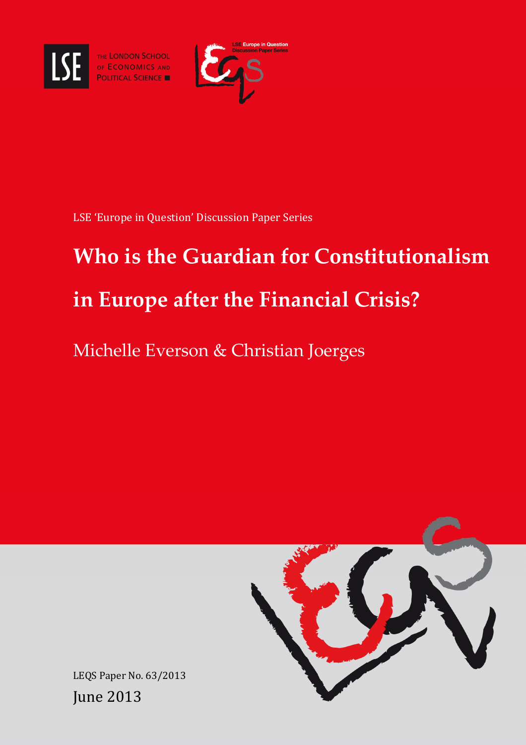

THE LONDON SCHOOL<br>OF ECONOMICS AND<br>POLITICAL SCIENCE



LSE 'Europe in Question' Discussion Paper Series

# **Who is the Guardian for Constitutionalism in Europe after the Financial Crisis?**

Michelle Everson & Christian Joerges



LEQS Paper No. 63/2013 June 2013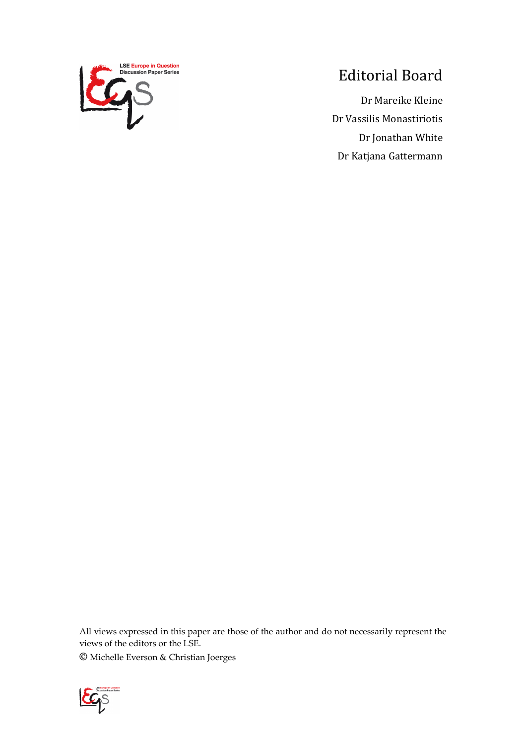

## Editorial Board

Dr Mareike Kleine Dr Vassilis Monastiriotis Dr Jonathan White Dr Katjana Gattermann

All views expressed in this paper are those of the author and do not necessarily represent the views of the editors or the LSE.

**©** Michelle Everson & Christian Joerges

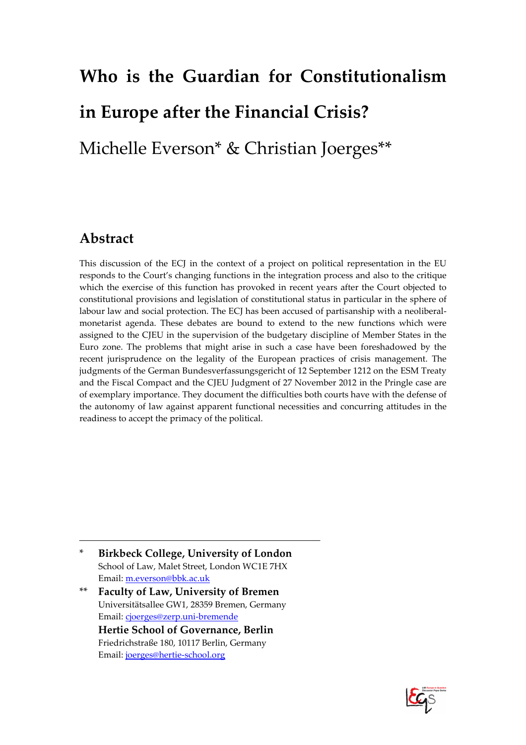# **Who is the Guardian for Constitutionalism in Europe after the Financial Crisis?**  Michelle Everson\* & Christian Joerges\*\*

#### **Abstract**

This discussion of the ECJ in the context of a project on political representation in the EU responds to the Court's changing functions in the integration process and also to the critique which the exercise of this function has provoked in recent years after the Court objected to constitutional provisions and legislation of constitutional status in particular in the sphere of labour law and social protection. The ECJ has been accused of partisanship with a neoliberalmonetarist agenda. These debates are bound to extend to the new functions which were assigned to the CJEU in the supervision of the budgetary discipline of Member States in the Euro zone. The problems that might arise in such a case have been foreshadowed by the recent jurisprudence on the legality of the European practices of crisis management. The judgments of the German Bundesverfassungsgericht of 12 September 1212 on the ESM Treaty and the Fiscal Compact and the CJEU Judgment of 27 November 2012 in the Pringle case are of exemplary importance. They document the difficulties both courts have with the defense of the autonomy of law against apparent functional necessities and concurring attitudes in the readiness to accept the primacy of the political.

- \* **Birkbeck College, University of London** School of Law, Malet Street, London WC1E 7HX Email: m.everson@bbk.ac.uk
- \*\* **Faculty of Law, University of Bremen**  Universitätsallee GW1, 28359 Bremen, Germany Email: cjoerges@zerp.uni-bremende **Hertie School of Governance, Berlin** Friedrichstraße 180, 10117 Berlin, Germany Email: joerges@hertie-school.org

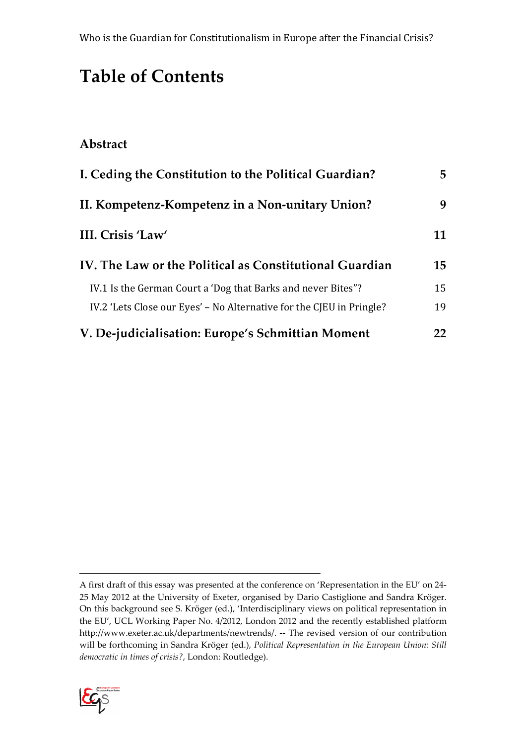## **Table of Contents**

#### **Abstract**

| I. Ceding the Constitution to the Political Guardian?                | 5  |
|----------------------------------------------------------------------|----|
| II. Kompetenz-Kompetenz in a Non-unitary Union?                      | 9  |
| III. Crisis 'Law'                                                    | 11 |
| IV. The Law or the Political as Constitutional Guardian              | 15 |
| IV.1 Is the German Court a 'Dog that Barks and never Bites"?         | 15 |
| IV.2 'Lets Close our Eyes' – No Alternative for the CJEU in Pringle? | 19 |
| V. De-judicialisation: Europe's Schmittian Moment                    | 22 |

A first draft of this essay was presented at the conference on 'Representation in the EU' on 24- 25 May 2012 at the University of Exeter, organised by Dario Castiglione and Sandra Kröger. On this background see S. Kröger (ed.), 'Interdisciplinary views on political representation in the EU', UCL Working Paper No. 4/2012, London 2012 and the recently established platform http://www.exeter.ac.uk/departments/newtrends/. -- The revised version of our contribution will be forthcoming in Sandra Kröger (ed.), *Political Representation in the European Union: Still democratic in times of crisis?*, London: Routledge).

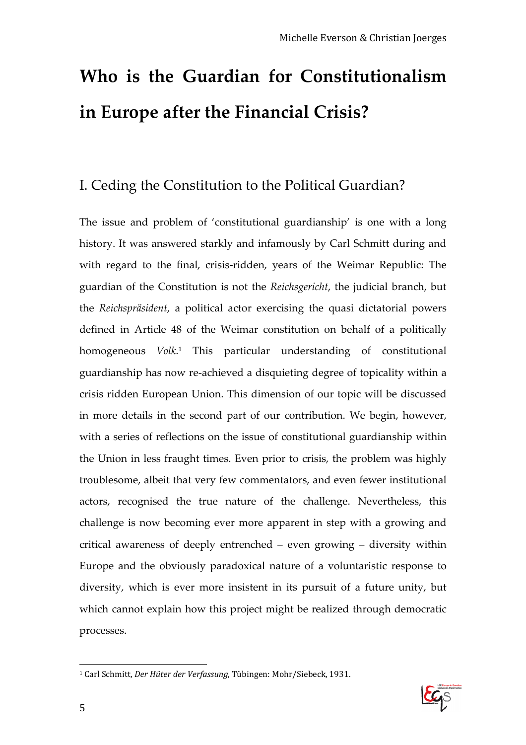## **Who is the Guardian for Constitutionalism in Europe after the Financial Crisis?**

### I. Ceding the Constitution to the Political Guardian?

The issue and problem of 'constitutional guardianship' is one with a long history. It was answered starkly and infamously by Carl Schmitt during and with regard to the final, crisis-ridden, years of the Weimar Republic: The guardian of the Constitution is not the *Reichsgericht*, the judicial branch, but the *Reichspräsident*, a political actor exercising the quasi dictatorial powers defined in Article 48 of the Weimar constitution on behalf of a politically homogeneous *Volk*. 1 This particular understanding of constitutional guardianship has now re-achieved a disquieting degree of topicality within a crisis ridden European Union. This dimension of our topic will be discussed in more details in the second part of our contribution. We begin, however, with a series of reflections on the issue of constitutional guardianship within the Union in less fraught times. Even prior to crisis, the problem was highly troublesome, albeit that very few commentators, and even fewer institutional actors, recognised the true nature of the challenge. Nevertheless, this challenge is now becoming ever more apparent in step with a growing and critical awareness of deeply entrenched – even growing – diversity within Europe and the obviously paradoxical nature of a voluntaristic response to diversity, which is ever more insistent in its pursuit of a future unity, but which cannot explain how this project might be realized through democratic processes.



 $\overline{a}$ 1 Carl Schmitt, *Der Hüter der Verfassung*, Tübingen: Mohr/Siebeck, 1931.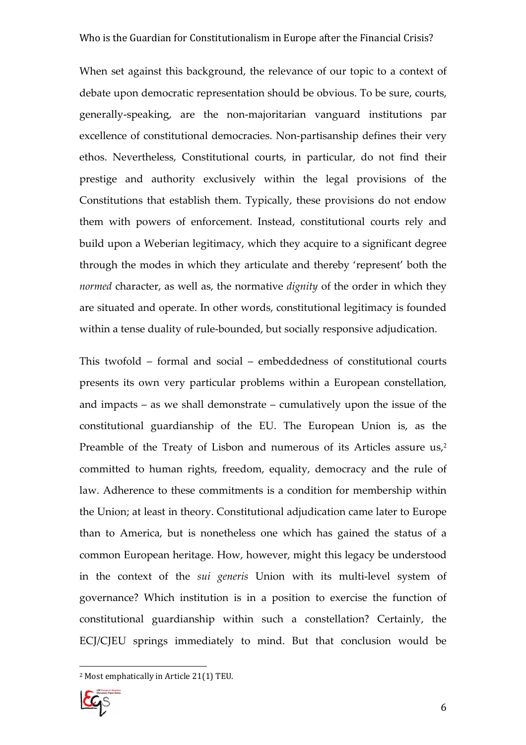When set against this background, the relevance of our topic to a context of debate upon democratic representation should be obvious. To be sure, courts, generally-speaking, are the non-majoritarian vanguard institutions par excellence of constitutional democracies. Non-partisanship defines their very ethos. Nevertheless, Constitutional courts, in particular, do not find their prestige and authority exclusively within the legal provisions of the Constitutions that establish them. Typically, these provisions do not endow them with powers of enforcement. Instead, constitutional courts rely and build upon a Weberian legitimacy, which they acquire to a significant degree through the modes in which they articulate and thereby 'represent' both the *normed* character, as well as, the normative *dignity* of the order in which they are situated and operate. In other words, constitutional legitimacy is founded within a tense duality of rule-bounded, but socially responsive adjudication.

This twofold – formal and social – embeddedness of constitutional courts presents its own very particular problems within a European constellation, and impacts – as we shall demonstrate – cumulatively upon the issue of the constitutional guardianship of the EU. The European Union is, as the Preamble of the Treaty of Lisbon and numerous of its Articles assure us,<sup>2</sup> committed to human rights, freedom, equality, democracy and the rule of law. Adherence to these commitments is a condition for membership within the Union; at least in theory. Constitutional adjudication came later to Europe than to America, but is nonetheless one which has gained the status of a common European heritage. How, however, might this legacy be understood in the context of the *sui generis* Union with its multi-level system of governance? Which institution is in a position to exercise the function of constitutional guardianship within such a constellation? Certainly, the ECJ/CJEU springs immediately to mind. But that conclusion would be

<sup>2</sup> Most emphatically in Article 21(1) TEU.

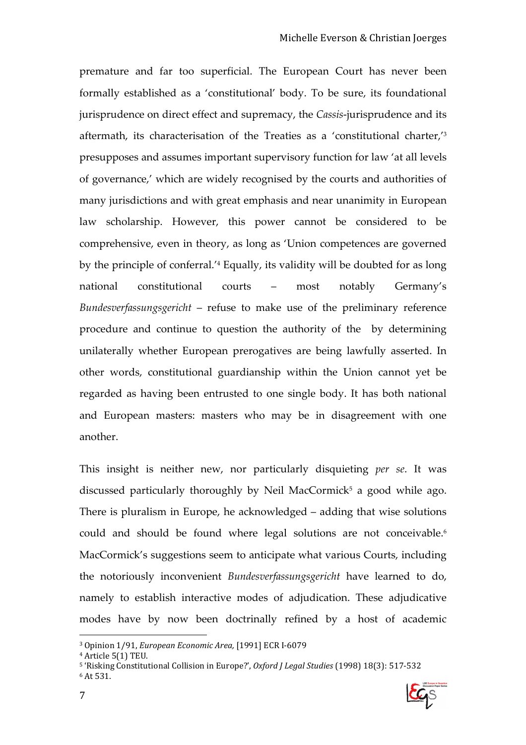premature and far too superficial. The European Court has never been formally established as a 'constitutional' body. To be sure, its foundational jurisprudence on direct effect and supremacy, the *Cassis*-jurisprudence and its aftermath, its characterisation of the Treaties as a 'constitutional charter,'<sup>3</sup> presupposes and assumes important supervisory function for law 'at all levels of governance,' which are widely recognised by the courts and authorities of many jurisdictions and with great emphasis and near unanimity in European law scholarship. However, this power cannot be considered to be comprehensive, even in theory, as long as 'Union competences are governed by the principle of conferral.'<sup>4</sup> Equally, its validity will be doubted for as long national constitutional courts – most notably Germany's *Bundesverfassungsgericht* – refuse to make use of the preliminary reference procedure and continue to question the authority of the by determining unilaterally whether European prerogatives are being lawfully asserted. In other words, constitutional guardianship within the Union cannot yet be regarded as having been entrusted to one single body. It has both national and European masters: masters who may be in disagreement with one another.

This insight is neither new, nor particularly disquieting *per se*. It was discussed particularly thoroughly by Neil MacCormick 5 a good while ago. There is pluralism in Europe, he acknowledged – adding that wise solutions could and should be found where legal solutions are not conceivable.<sup>6</sup> MacCormick's suggestions seem to anticipate what various Courts, including the notoriously inconvenient *Bundesverfassungsgericht* have learned to do, namely to establish interactive modes of adjudication. These adjudicative modes have by now been doctrinally refined by a host of academic

<sup>5</sup> 'Risking Constitutional Collision in Europe?', *Oxford J Legal Studies* (1998) 18(3): 517-532 6 At 531.



<sup>3</sup> Opinion 1/91, *European Economic Area,* [1991] ECR I-6079

<sup>4</sup> Article 5(1) TEU.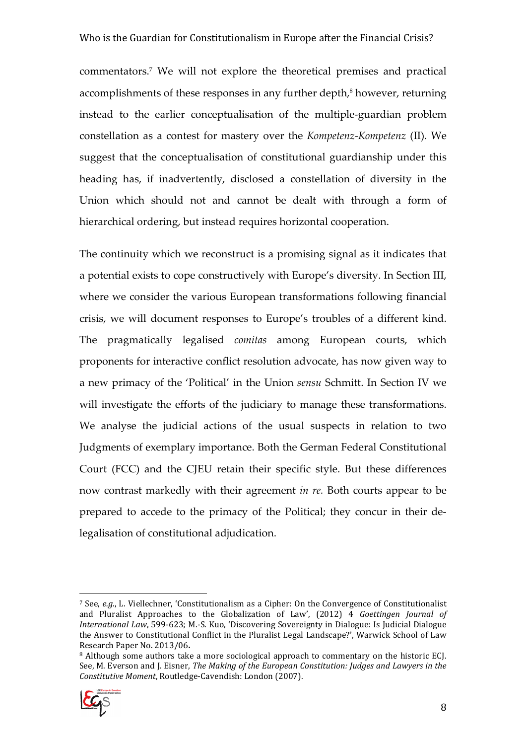#### Who is the Guardian for Constitutionalism in Europe after the Financial Crisis?

commentators.<sup>7</sup> We will not explore the theoretical premises and practical accomplishments of these responses in any further depth, $\delta$  however, returning instead to the earlier conceptualisation of the multiple-guardian problem constellation as a contest for mastery over the *Kompetenz-Kompetenz* (II). We suggest that the conceptualisation of constitutional guardianship under this heading has, if inadvertently, disclosed a constellation of diversity in the Union which should not and cannot be dealt with through a form of hierarchical ordering, but instead requires horizontal cooperation.

The continuity which we reconstruct is a promising signal as it indicates that a potential exists to cope constructively with Europe's diversity. In Section III, where we consider the various European transformations following financial crisis, we will document responses to Europe's troubles of a different kind. The pragmatically legalised *comitas* among European courts, which proponents for interactive conflict resolution advocate, has now given way to a new primacy of the 'Political' in the Union *sensu* Schmitt. In Section IV we will investigate the efforts of the judiciary to manage these transformations. We analyse the judicial actions of the usual suspects in relation to two Judgments of exemplary importance. Both the German Federal Constitutional Court (FCC) and the CJEU retain their specific style. But these differences now contrast markedly with their agreement *in re.* Both courts appear to be prepared to accede to the primacy of the Political; they concur in their delegalisation of constitutional adjudication.

<sup>&</sup>lt;sup>8</sup> Although some authors take a more sociological approach to commentary on the historic ECJ. See, M. Everson and J. Eisner, *The Making of the European Constitution: Judges and Lawyers in the Constitutive Moment*, Routledge-Cavendish: London (2007).



<sup>7</sup> See, *e.g*., L. Viellechner, 'Constitutionalism as a Cipher: On the Convergence of Constitutionalist and Pluralist Approaches to the Globalization of Law', (2012) 4 *Goettingen Journal of International Law*, 599-623; M.-S. Kuo, 'Discovering Sovereignty in Dialogue: Is Judicial Dialogue the Answer to Constitutional Conflict in the Pluralist Legal Landscape?', Warwick School of Law Research Paper No. 2013/06**.**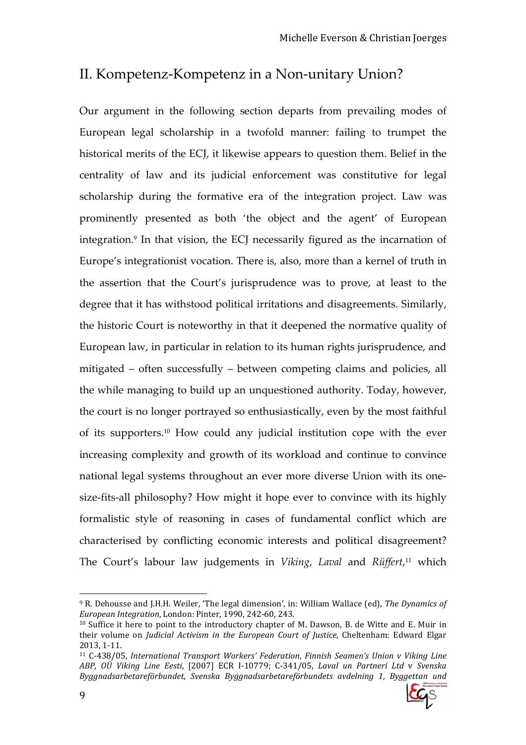## II. Kompetenz-Kompetenz in a Non-unitary Union?

Our argument in the following section departs from prevailing modes of European legal scholarship in a twofold manner: failing to trumpet the historical merits of the ECJ, it likewise appears to question them. Belief in the centrality of law and its judicial enforcement was constitutive for legal scholarship during the formative era of the integration project. Law was prominently presented as both 'the object and the agent' of European integration.<sup>9</sup> In that vision, the ECJ necessarily figured as the incarnation of Europe's integrationist vocation. There is, also, more than a kernel of truth in the assertion that the Court's jurisprudence was to prove, at least to the degree that it has withstood political irritations and disagreements. Similarly, the historic Court is noteworthy in that it deepened the normative quality of European law, in particular in relation to its human rights jurisprudence, and mitigated – often successfully – between competing claims and policies, all the while managing to build up an unquestioned authority. Today, however, the court is no longer portrayed so enthusiastically, even by the most faithful of its supporters.10 How could any judicial institution cope with the ever increasing complexity and growth of its workload and continue to convince national legal systems throughout an ever more diverse Union with its onesize-fits-all philosophy? How might it hope ever to convince with its highly formalistic style of reasoning in cases of fundamental conflict which are characterised by conflicting economic interests and political disagreement? The Court's labour law judgements in *Viking*, *Laval* and *Rüffert*, <sup>11</sup> which

<sup>11</sup> C-438/05, *International Transport Workers' Federation*, *Finnish Seamen's Union v Viking Line ABP*, *OÜ Viking Line Eesti*, [2007] ECR I-10779; C-341/05, *Laval un Partneri Ltd* v *Svenska Byggnadsarbetareförbundet*, *Svenska Byggnadsarbetareförbundets avdelning 1*, *Byggettan und* 



 $\overline{a}$ <sup>9</sup> R. Dehousse and J.H.H. Weiler, 'The legal dimension', in: William Wallace (ed), *The Dynamics of European Integration*, London: Pinter, 1990, 242-60, 243.

<sup>10</sup> Suffice it here to point to the introductory chapter of M. Dawson, B. de Witte and E. Muir in their volume on *Judicial Activism in the European Court of Justice*, Cheltenham: Edward Elgar 2013, 1-11.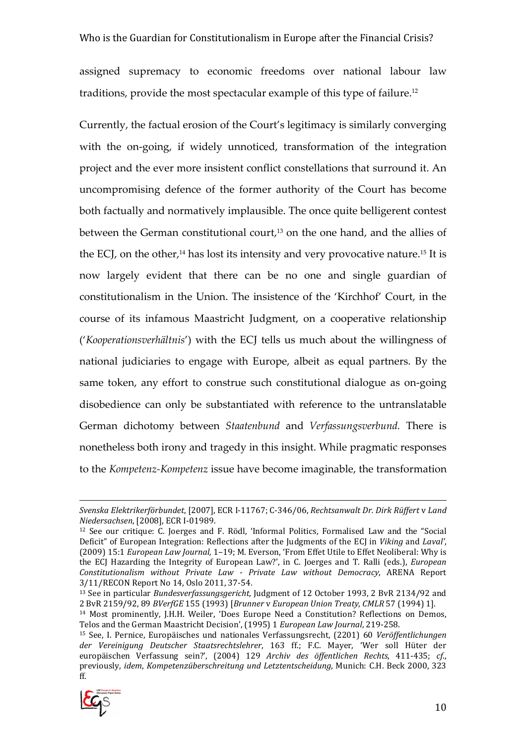#### Who is the Guardian for Constitutionalism in Europe after the Financial Crisis?

assigned supremacy to economic freedoms over national labour law traditions, provide the most spectacular example of this type of failure.<sup>12</sup>

Currently, the factual erosion of the Court's legitimacy is similarly converging with the on-going, if widely unnoticed, transformation of the integration project and the ever more insistent conflict constellations that surround it. An uncompromising defence of the former authority of the Court has become both factually and normatively implausible. The once quite belligerent contest between the German constitutional court,<sup>13</sup> on the one hand, and the allies of the ECJ, on the other,<sup>14</sup> has lost its intensity and very provocative nature.<sup>15</sup> It is now largely evident that there can be no one and single guardian of constitutionalism in the Union. The insistence of the 'Kirchhof' Court, in the course of its infamous Maastricht Judgment, on a cooperative relationship ('*Kooperationsverhältnis*') with the ECJ tells us much about the willingness of national judiciaries to engage with Europe, albeit as equal partners. By the same token, any effort to construe such constitutional dialogue as on-going disobedience can only be substantiated with reference to the untranslatable German dichotomy between *Staatenbund* and *Verfassungsverbund.* There is nonetheless both irony and tragedy in this insight. While pragmatic responses to the *Kompetenz-Kompetenz* issue have become imaginable, the transformation

<sup>15</sup> See, I. Pernice, Europäisches und nationales Verfassungsrecht, (2201) 60 *Veröffentlichungen der Vereinigung Deutscher Staatsrechtslehrer*, 163 ff.; F.C. Mayer, 'Wer soll Hüter der europäischen Verfassung sein?', (2004) 129 *Archiv des öffentlichen Rechts*, 411-435; *cf*., previously, *idem*, *Kompetenzüberschreitung und Letztentscheidung*, Munich: C.H. Beck 2000, 323 ff.



*Svenska Elektrikerförbundet*, [2007], ECR I-11767; C-346/06, *Rechtsanwalt Dr. Dirk Rüffert* v *Land Niedersachsen*, [2008], ECR I-01989.

<sup>12</sup> See our critique: C. Joerges and F. Rödl, 'Informal Politics, Formalised Law and the "Social Deficit" of European Integration: Reflections after the Judgments of the ECJ in *Viking* and *Laval'*, (2009) 15:1 *European Law Journal,* 1–19; M. Everson, 'From Effet Utile to Effet Neoliberal: Why is the ECJ Hazarding the Integrity of European Law?', in C. Joerges and T. Ralli (eds.), *European Constitutionalism without Private Law - Private Law without Democracy*, ARENA Report 3/11/RECON Report No 14, Oslo 2011, 37-54.

<sup>13</sup> See in particular *Bundesverfassungsgericht*, Judgment of 12 October 1993, 2 BvR 2134/92 and 2 BvR 2159/92, 89 *BVerfGE* 155 (1993) [*Brunner* v *European Union Treaty*, *CMLR* 57 (1994) 1].

<sup>14</sup> Most prominently, J.H.H. Weiler, 'Does Europe Need a Constitution? Reflections on Demos, Telos and the German Maastricht Decision', (1995) 1 *European Law Journal*, 219-258.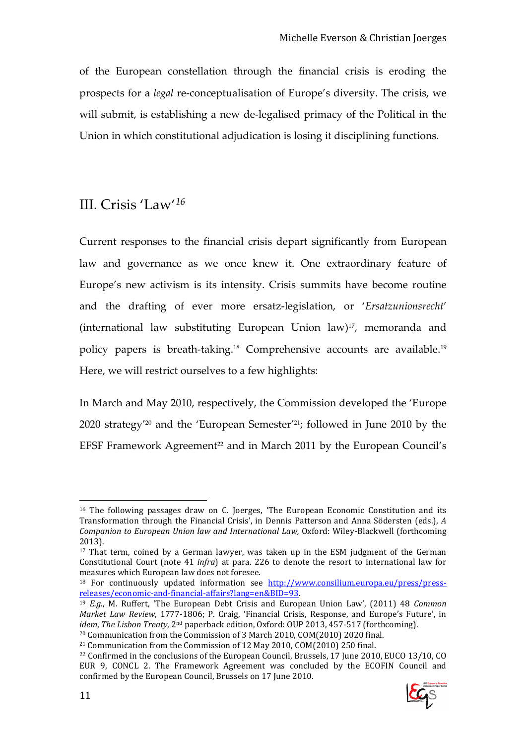of the European constellation through the financial crisis is eroding the prospects for a *legal* re-conceptualisation of Europe's diversity. The crisis, we will submit, is establishing a new de-legalised primacy of the Political in the Union in which constitutional adjudication is losing it disciplining functions.

### III. Crisis 'Law'*<sup>16</sup>*

Current responses to the financial crisis depart significantly from European law and governance as we once knew it. One extraordinary feature of Europe's new activism is its intensity. Crisis summits have become routine and the drafting of ever more ersatz-legislation, or '*Ersatzunionsrecht*' (international law substituting European Union law)17, memoranda and policy papers is breath-taking.18 Comprehensive accounts are available.<sup>19</sup> Here, we will restrict ourselves to a few highlights:

In March and May 2010, respectively, the Commission developed the 'Europe 2020 strategy'20 and the 'European Semester'21; followed in June 2010 by the EFSF Framework Agreement<sup>22</sup> and in March 2011 by the European Council's

<sup>22</sup> Confirmed in the conclusions of the European Council, Brussels, 17 June 2010, EUCO 13/10, CO EUR 9, CONCL 2. The Framework Agreement was concluded by the ECOFIN Council and confirmed by the European Council, Brussels on 17 June 2010.



 $16$  The following passages draw on C. Joerges, 'The European Economic Constitution and its Transformation through the Financial Crisis', in Dennis Patterson and Anna Södersten (eds.), *A Companion to European Union law and International Law,* Oxford: Wiley-Blackwell (forthcoming 2013).

<sup>&</sup>lt;sup>17</sup> That term, coined by a German lawyer, was taken up in the ESM judgment of the German Constitutional Court (note 41 *infra*) at para. 226 to denote the resort to international law for measures which European law does not foresee.

<sup>&</sup>lt;sup>18</sup> For continuously updated information see http://www.consilium.europa.eu/press/pressreleases/economic-and-financial-affairs?lang=en&BID=93.

<sup>19</sup> *E.g*., M. Ruffert, 'The European Debt Crisis and European Union Law', (2011) 48 *Common Market Law Review*, 1777-1806; P. Craig, 'Financial Crisis, Response, and Europe's Future', in *idem*, *The Lisbon Treaty*, 2nd paperback edition, Oxford: OUP 2013, 457-517 (forthcoming). <sup>20</sup> Communication from the Commission of 3 March 2010, COM(2010) 2020 final.

<sup>21</sup> Communication from the Commission of 12 May 2010, COM(2010) 250 final.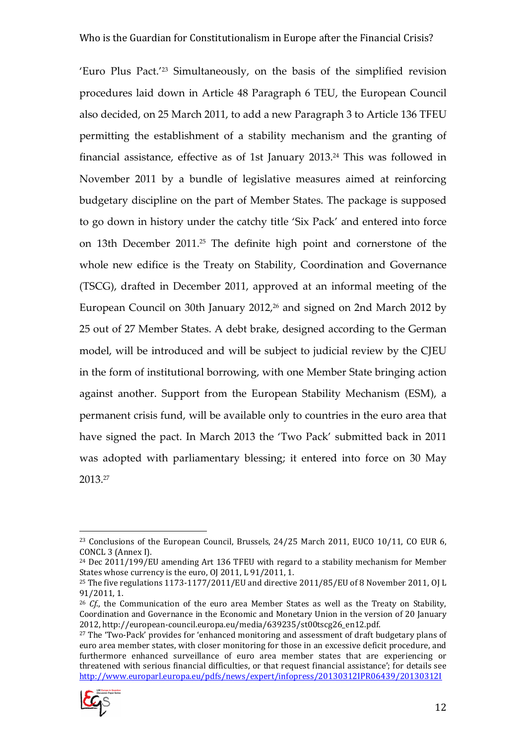'Euro Plus Pact.'23 Simultaneously, on the basis of the simplified revision procedures laid down in Article 48 Paragraph 6 TEU, the European Council also decided, on 25 March 2011, to add a new Paragraph 3 to Article 136 TFEU permitting the establishment of a stability mechanism and the granting of financial assistance, effective as of 1st January 2013.24 This was followed in November 2011 by a bundle of legislative measures aimed at reinforcing budgetary discipline on the part of Member States. The package is supposed to go down in history under the catchy title 'Six Pack' and entered into force on 13th December 2011.25 The definite high point and cornerstone of the whole new edifice is the Treaty on Stability, Coordination and Governance (TSCG), drafted in December 2011, approved at an informal meeting of the European Council on 30th January 2012,<sup>26</sup> and signed on 2nd March 2012 by 25 out of 27 Member States. A debt brake, designed according to the German model, will be introduced and will be subject to judicial review by the CJEU in the form of institutional borrowing, with one Member State bringing action against another. Support from the European Stability Mechanism (ESM), a permanent crisis fund, will be available only to countries in the euro area that have signed the pact. In March 2013 the 'Two Pack' submitted back in 2011 was adopted with parliamentary blessing; it entered into force on 30 May 2013.<sup>27</sup>

<sup>&</sup>lt;sup>27</sup> The 'Two-Pack' provides for 'enhanced monitoring and assessment of draft budgetary plans of euro area member states, with closer monitoring for those in an excessive deficit procedure, and furthermore enhanced surveillance of euro area member states that are experiencing or threatened with serious financial difficulties, or that request financial assistance'; for details see http://www.europarl.europa.eu/pdfs/news/expert/infopress/20130312IPR06439/20130312I



 $\overline{a}$ <sup>23</sup> Conclusions of the European Council, Brussels, 24/25 March 2011, EUCO 10/11, CO EUR 6, CONCL 3 (Annex I).

<sup>&</sup>lt;sup>24</sup> Dec 2011/199/EU amending Art 136 TFEU with regard to a stability mechanism for Member States whose currency is the euro, OJ 2011, L 91/2011, 1.

<sup>&</sup>lt;sup>25</sup> The five regulations 1173-1177/2011/EU and directive 2011/85/EU of 8 November 2011, OJ L 91/2011, 1.

<sup>&</sup>lt;sup>26</sup> *Cf.*, the Communication of the euro area Member States as well as the Treaty on Stability, Coordination and Governance in the Economic and Monetary Union in the version of 20 January 2012, http://european-council.europa.eu/media/639235/st00tscg26\_en12.pdf.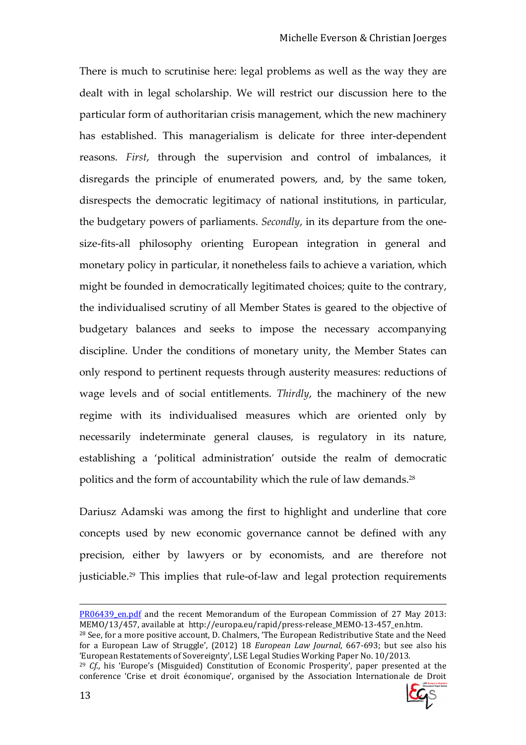There is much to scrutinise here: legal problems as well as the way they are dealt with in legal scholarship. We will restrict our discussion here to the particular form of authoritarian crisis management, which the new machinery has established. This managerialism is delicate for three inter-dependent reasons. *First*, through the supervision and control of imbalances, it disregards the principle of enumerated powers, and, by the same token, disrespects the democratic legitimacy of national institutions, in particular, the budgetary powers of parliaments. *Secondly*, in its departure from the onesize-fits-all philosophy orienting European integration in general and monetary policy in particular, it nonetheless fails to achieve a variation, which might be founded in democratically legitimated choices; quite to the contrary, the individualised scrutiny of all Member States is geared to the objective of budgetary balances and seeks to impose the necessary accompanying discipline. Under the conditions of monetary unity, the Member States can only respond to pertinent requests through austerity measures: reductions of wage levels and of social entitlements. *Thirdly*, the machinery of the new regime with its individualised measures which are oriented only by necessarily indeterminate general clauses, is regulatory in its nature, establishing a 'political administration' outside the realm of democratic politics and the form of accountability which the rule of law demands.<sup>28</sup>

Dariusz Adamski was among the first to highlight and underline that core concepts used by new economic governance cannot be defined with any precision, either by lawyers or by economists, and are therefore not justiciable.<sup>29</sup> This implies that rule-of-law and legal protection requirements

<sup>&</sup>lt;sup>29</sup> *Cf.*, his 'Europe's (Misguided) Constitution of Economic Prosperity', paper presented at the conference 'Crise et droit économique', organised by the Association Internationale de Droit



PR06439 en.pdf and the recent Memorandum of the European Commission of 27 May 2013: MEMO/13/457, available at http://europa.eu/rapid/press-release\_MEMO-13-457\_en.htm.

<sup>&</sup>lt;sup>28</sup> See, for a more positive account, D. Chalmers, 'The European Redistributive State and the Need for a European Law of Struggle', (2012) 18 *European Law Journal*, 667-693; but see also his 'European Restatements of Sovereignty', LSE Legal Studies Working Paper No. 10/2013.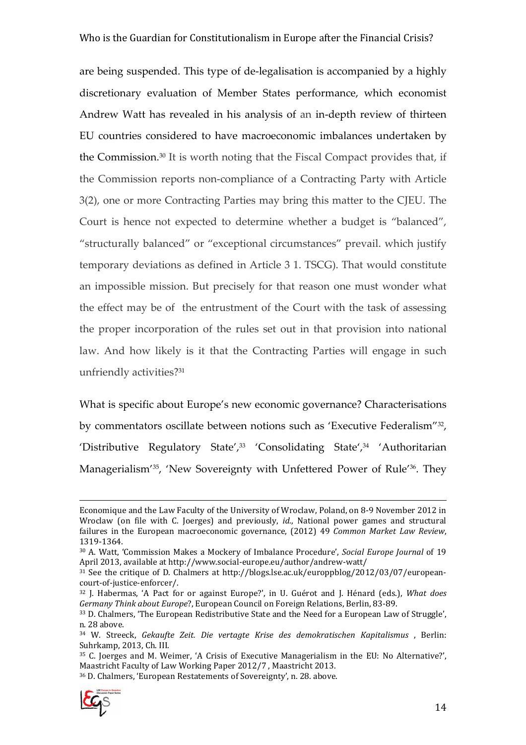are being suspended. This type of de-legalisation is accompanied by a highly discretionary evaluation of Member States performance, which economist Andrew Watt has revealed in his analysis of an in-depth review of thirteen EU countries considered to have macroeconomic imbalances undertaken by the Commission.30 It is worth noting that the Fiscal Compact provides that, if the Commission reports non-compliance of a Contracting Party with Article 3(2), one or more Contracting Parties may bring this matter to the CJEU. The Court is hence not expected to determine whether a budget is "balanced", "structurally balanced" or "exceptional circumstances" prevail. which justify temporary deviations as defined in Article 3 1. TSCG). That would constitute an impossible mission. But precisely for that reason one must wonder what the effect may be of the entrustment of the Court with the task of assessing the proper incorporation of the rules set out in that provision into national law. And how likely is it that the Contracting Parties will engage in such unfriendly activities?<sup>31</sup>

What is specific about Europe's new economic governance? Characterisations by commentators oscillate between notions such as 'Executive Federalism"<sup>32</sup> , 'Distributive Regulatory State',<sup>33</sup> 'Consolidating State',<sup>34</sup> 'Authoritarian Managerialism<sup>'35</sup>, 'New Sovereignty with Unfettered Power of Rule<sup>'36</sup>. They

<sup>36</sup> D. Chalmers, 'European Restatements of Sovereignty', n. 28. above.



Economique and the Law Faculty of the University of Wroclaw, Poland, on 8-9 November 2012 in Wroclaw (on file with C. Joerges) and previously, *id.*, National power games and structural failures in the European macroeconomic governance, (2012) 49 *Common Market Law Review*, 1319-1364.

<sup>30</sup> A. Watt, 'Commission Makes a Mockery of Imbalance Procedure', *Social Europe Journal* of 19 April 2013, available at http://www.social-europe.eu/author/andrew-watt/

<sup>31</sup> See the critique of D. Chalmers at http://blogs.lse.ac.uk/europpblog/2012/03/07/europeancourt-of-justice-enforcer/.

<sup>32</sup> J. Habermas, 'A Pact for or against Europe?', in U. Guérot and J. Hénard (eds.), *What does Germany Think about Europe*?, European Council on Foreign Relations, Berlin, 83-89.

<sup>&</sup>lt;sup>33</sup> D. Chalmers, 'The European Redistributive State and the Need for a European Law of Struggle', n. 28 above.

<sup>34</sup> W. Streeck, *Gekaufte Zeit. Die vertagte Krise des demokratischen Kapitalismus* , Berlin: Suhrkamp, 2013, Ch. III.

<sup>35</sup> C. Joerges and M. Weimer, 'A Crisis of Executive Managerialism in the EU: No Alternative?', Maastricht Faculty of Law Working Paper 2012/7 , Maastricht 2013.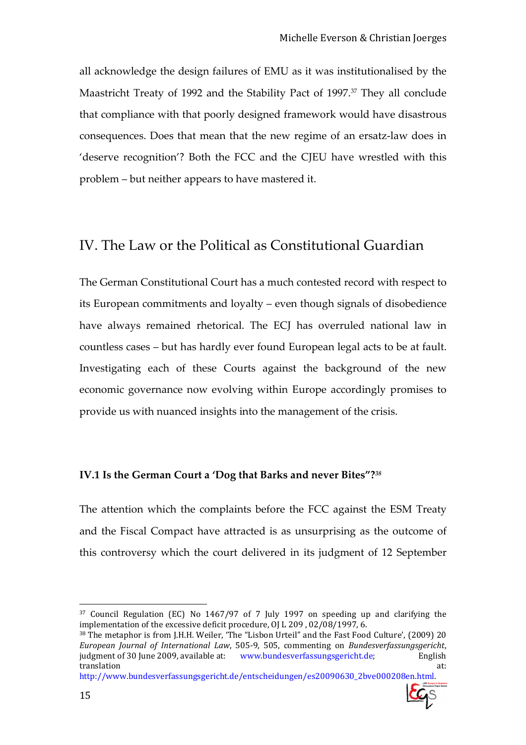all acknowledge the design failures of EMU as it was institutionalised by the Maastricht Treaty of 1992 and the Stability Pact of 1997.37 They all conclude that compliance with that poorly designed framework would have disastrous consequences. Does that mean that the new regime of an ersatz-law does in 'deserve recognition'? Both the FCC and the CJEU have wrestled with this problem – but neither appears to have mastered it.

#### IV. The Law or the Political as Constitutional Guardian

The German Constitutional Court has a much contested record with respect to its European commitments and loyalty – even though signals of disobedience have always remained rhetorical. The ECJ has overruled national law in countless cases – but has hardly ever found European legal acts to be at fault. Investigating each of these Courts against the background of the new economic governance now evolving within Europe accordingly promises to provide us with nuanced insights into the management of the crisis.

#### **IV.1 Is the German Court a 'Dog that Barks and never Bites"?***<sup>38</sup>*

The attention which the complaints before the FCC against the ESM Treaty and the Fiscal Compact have attracted is as unsurprising as the outcome of this controversy which the court delivered in its judgment of 12 September

http://www.bundesverfassungsgericht.de/entscheidungen/es20090630\_2bve000208en.html.



<sup>37</sup> Council Regulation (EC) No 1467/97 of 7 July 1997 on speeding up and clarifying the implementation of the excessive deficit procedure, OJ L 209 , 02/08/1997, 6.

<sup>&</sup>lt;sup>38</sup> The metaphor is from J.H.H. Weiler, 'The "Lisbon Urteil" and the Fast Food Culture', (2009) 20 *European Journal of International Law*, 505-9, 505, commenting on *Bundesverfassungsgericht*, judgment of 30 June 2009, available at: www.bundesverfassungsgericht.de; English translation at: the contract of the contract of the contract of the contract of the contract of the contract of the contract of the contract of the contract of the contract of the contract of the contract of the contract o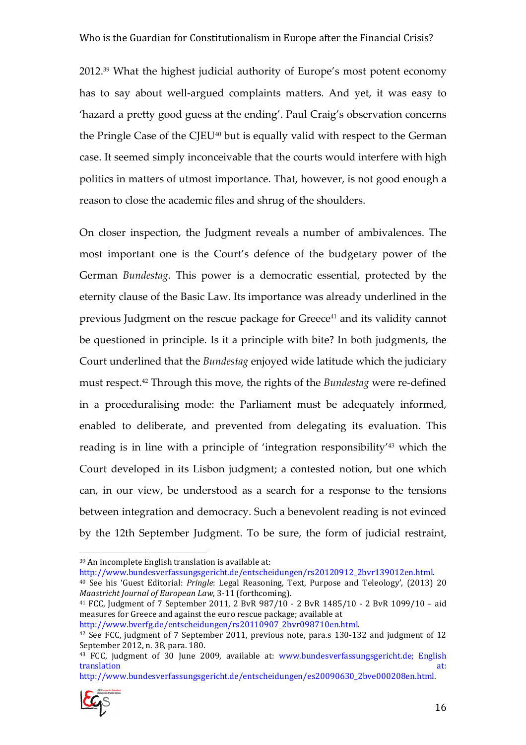2012.39 What the highest judicial authority of Europe's most potent economy has to say about well-argued complaints matters. And yet, it was easy to 'hazard a pretty good guess at the ending'. Paul Craig's observation concerns the Pringle Case of the CJEU40 but is equally valid with respect to the German case. It seemed simply inconceivable that the courts would interfere with high politics in matters of utmost importance. That, however, is not good enough a reason to close the academic files and shrug of the shoulders.

On closer inspection, the Judgment reveals a number of ambivalences. The most important one is the Court's defence of the budgetary power of the German *Bundestag*. This power is a democratic essential, protected by the eternity clause of the Basic Law. Its importance was already underlined in the previous Judgment on the rescue package for Greece<sup>41</sup> and its validity cannot be questioned in principle. Is it a principle with bite? In both judgments, the Court underlined that the *Bundestag* enjoyed wide latitude which the judiciary must respect.42 Through this move, the rights of the *Bundestag* were re-defined in a proceduralising mode: the Parliament must be adequately informed, enabled to deliberate, and prevented from delegating its evaluation. This reading is in line with a principle of 'integration responsibility'43 which the Court developed in its Lisbon judgment; a contested notion, but one which can, in our view, be understood as a search for a response to the tensions between integration and democracy. Such a benevolent reading is not evinced by the 12th September Judgment. To be sure, the form of judicial restraint,

http://www.bundesverfassungsgericht.de/entscheidungen/rs20120912\_2bvr139012en.html. <sup>40</sup> See his 'Guest Editorial: *Pringle*: Legal Reasoning, Text, Purpose and Teleology', (2013) 20 *Maastricht Journal of European Law*, 3-11 (forthcoming).

<sup>41</sup> FCC, Judgment of 7 September 2011, 2 BvR 987/10 - 2 BvR 1485/10 - 2 BvR 1099/10 – aid measures for Greece and against the euro rescue package; available at

http://www.bverfg.de/entscheidungen/rs20110907\_2bvr098710en.html.

http://www.bundesverfassungsgericht.de/entscheidungen/es20090630\_2bve000208en.html.



<sup>39</sup> An incomplete English translation is available at:

<sup>42</sup> See FCC, judgment of 7 September 2011, previous note, para.s 130-132 and judgment of 12 September 2012, n. 38, para. 180.

<sup>43</sup> FCC, judgment of 30 June 2009, available at: www.bundesverfassungsgericht.de; English translation at: the contract of the contract of the contract of the contract of the contract of the contract of the contract of the contract of the contract of the contract of the contract of the contract of the contract o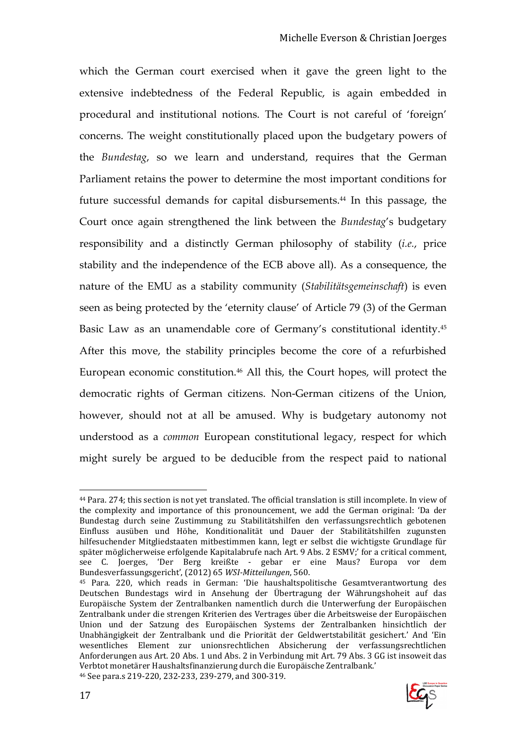which the German court exercised when it gave the green light to the extensive indebtedness of the Federal Republic, is again embedded in procedural and institutional notions. The Court is not careful of 'foreign' concerns. The weight constitutionally placed upon the budgetary powers of the *Bundestag*, so we learn and understand, requires that the German Parliament retains the power to determine the most important conditions for future successful demands for capital disbursements. <sup>44</sup> In this passage, the Court once again strengthened the link between the *Bundestag*'s budgetary responsibility and a distinctly German philosophy of stability (*i.e.*, price stability and the independence of the ECB above all). As a consequence, the nature of the EMU as a stability community (*Stabilitätsgemeinschaft*) is even seen as being protected by the 'eternity clause' of Article 79 (3) of the German Basic Law as an unamendable core of Germany's constitutional identity.<sup>45</sup> After this move, the stability principles become the core of a refurbished European economic constitution.<sup>46</sup> All this, the Court hopes, will protect the democratic rights of German citizens. Non-German citizens of the Union, however, should not at all be amused. Why is budgetary autonomy not understood as a *common* European constitutional legacy, respect for which might surely be argued to be deducible from the respect paid to national

<sup>45</sup> Para. 220, which reads in German: 'Die haushaltspolitische Gesamtverantwortung des Deutschen Bundestags wird in Ansehung der Übertragung der Währungshoheit auf das Europäische System der Zentralbanken namentlich durch die Unterwerfung der Europäischen Zentralbank under die strengen Kriterien des Vertrages über die Arbeitsweise der Europäischen Union und der Satzung des Europäischen Systems der Zentralbanken hinsichtlich der Unabhängigkeit der Zentralbank und die Priorität der Geldwertstabilität gesichert.' And 'Ein wesentliches Element zur unionsrechtlichen Absicherung der verfassungsrechtlichen Anforderungen aus Art. 20 Abs. 1 und Abs. 2 in Verbindung mit Art. 79 Abs. 3 GG ist insoweit das Verbtot monetärer Haushaltsfinanzierung durch die Europäische Zentralbank.' 46 See para.s 219-220, 232-233, 239-279, and 300-319.



 $\overline{a}$ <sup>44</sup> Para. 274; this section is not yet translated. The official translation is still incomplete. In view of the complexity and importance of this pronouncement, we add the German original: 'Da der Bundestag durch seine Zustimmung zu Stabilitätshilfen den verfassungsrechtlich gebotenen Einfluss ausüben und Höhe, Konditionalität und Dauer der Stabilitätshilfen zugunsten hilfesuchender Mitgliedstaaten mitbestimmen kann, legt er selbst die wichtigste Grundlage für später möglicherweise erfolgende Kapitalabrufe nach Art. 9 Abs. 2 ESMV;' for a critical comment, see C. Joerges, 'Der Berg kreißte - gebar er eine Maus? Europa vor dem Bundesverfassungsgericht', (2012) 65 *WSI-Mitteilungen*, 560.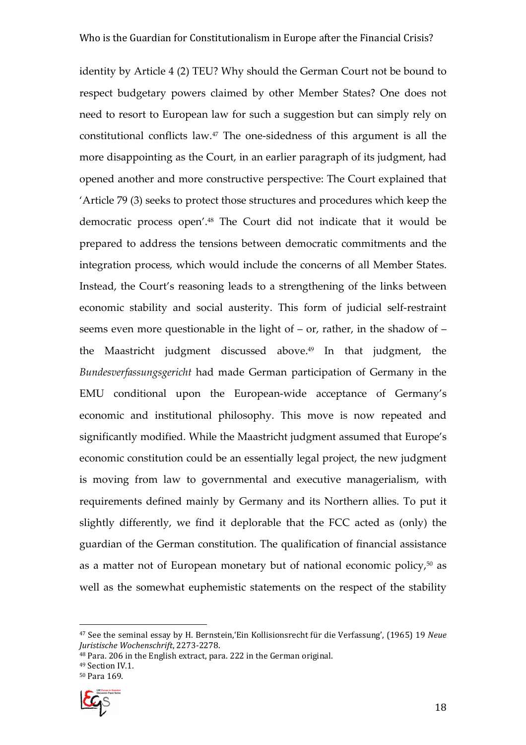identity by Article 4 (2) TEU? Why should the German Court not be bound to respect budgetary powers claimed by other Member States? One does not need to resort to European law for such a suggestion but can simply rely on constitutional conflicts law.47 The one-sidedness of this argument is all the more disappointing as the Court, in an earlier paragraph of its judgment, had opened another and more constructive perspective: The Court explained that 'Article 79 (3) seeks to protect those structures and procedures which keep the democratic process open'.48 The Court did not indicate that it would be prepared to address the tensions between democratic commitments and the integration process, which would include the concerns of all Member States. Instead, the Court's reasoning leads to a strengthening of the links between economic stability and social austerity. This form of judicial self-restraint seems even more questionable in the light of – or, rather, in the shadow of – the Maastricht judgment discussed above.<sup>49</sup> In that judgment, the *Bundesverfassungsgericht* had made German participation of Germany in the EMU conditional upon the European-wide acceptance of Germany's economic and institutional philosophy. This move is now repeated and significantly modified. While the Maastricht judgment assumed that Europe's economic constitution could be an essentially legal project, the new judgment is moving from law to governmental and executive managerialism, with requirements defined mainly by Germany and its Northern allies. To put it slightly differently, we find it deplorable that the FCC acted as (only) the guardian of the German constitution. The qualification of financial assistance as a matter not of European monetary but of national economic policy, $50$  as well as the somewhat euphemistic statements on the respect of the stability



<sup>47</sup> See the seminal essay by H. Bernstein,'Ein Kollisionsrecht für die Verfassung', (1965) 19 *Neue Juristische Wochenschrift*, 2273-2278.

<sup>48</sup> Para. 206 in the English extract, para. 222 in the German original.

<sup>49</sup> Section IV.1.

<sup>50</sup> Para 169.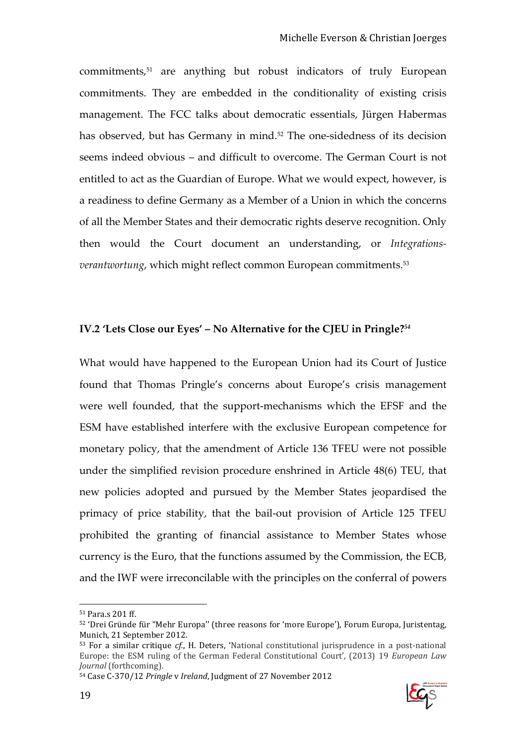commitments,51 are anything but robust indicators of truly European commitments. They are embedded in the conditionality of existing crisis management. The FCC talks about democratic essentials, Jürgen Habermas has observed, but has Germany in mind.<sup>52</sup> The one-sidedness of its decision seems indeed obvious – and difficult to overcome. The German Court is not entitled to act as the Guardian of Europe. What we would expect, however, is a readiness to define Germany as a Member of a Union in which the concerns of all the Member States and their democratic rights deserve recognition. Only then would the Court document an understanding, or *Integrationsverantwortung*, which might reflect common European commitments.<sup>53</sup>

#### **IV.2 'Lets Close our Eyes' – No Alternative for the CJEU in Pringle?***<sup>54</sup>*

What would have happened to the European Union had its Court of Justice found that Thomas Pringle's concerns about Europe's crisis management were well founded, that the support-mechanisms which the EFSF and the ESM have established interfere with the exclusive European competence for monetary policy, that the amendment of Article 136 TFEU were not possible under the simplified revision procedure enshrined in Article 48(6) TEU, that new policies adopted and pursued by the Member States jeopardised the primacy of price stability, that the bail-out provision of Article 125 TFEU prohibited the granting of financial assistance to Member States whose currency is the Euro, that the functions assumed by the Commission, the ECB, and the IWF were irreconcilable with the principles on the conferral of powers



<sup>51</sup> Para.s 201 ff.

<sup>52</sup> 'Drei Gründe für "Mehr Europa'' (three reasons for 'more Europe'), Forum Europa, Juristentag, Munich, 21 September 2012.

<sup>53</sup> For a similar critique *cf.*, H. Deters, 'National constitutional jurisprudence in a post-national Europe: the ESM ruling of the German Federal Constitutional Court', (2013) 19 *European Law Journal* (forthcoming).

<sup>54</sup> Case C-370/12 *Pringle* v *Ireland*, Judgment of 27 November 2012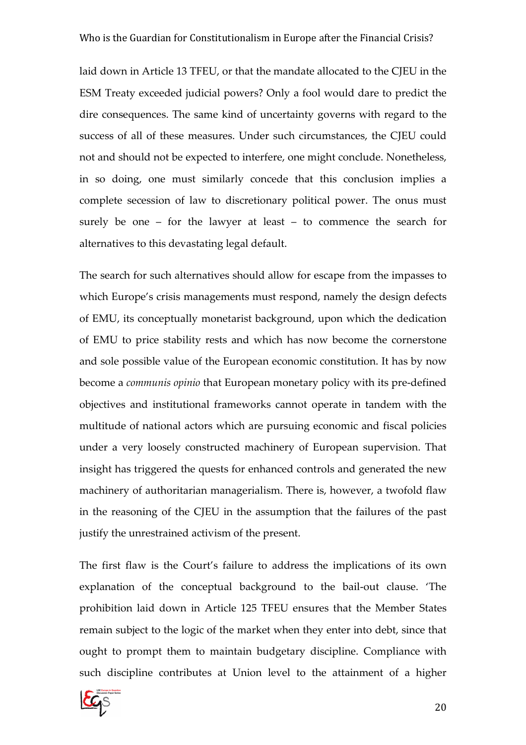laid down in Article 13 TFEU, or that the mandate allocated to the CJEU in the ESM Treaty exceeded judicial powers? Only a fool would dare to predict the dire consequences. The same kind of uncertainty governs with regard to the success of all of these measures. Under such circumstances, the CJEU could not and should not be expected to interfere, one might conclude. Nonetheless, in so doing, one must similarly concede that this conclusion implies a complete secession of law to discretionary political power. The onus must surely be one – for the lawyer at least – to commence the search for alternatives to this devastating legal default.

The search for such alternatives should allow for escape from the impasses to which Europe's crisis managements must respond, namely the design defects of EMU, its conceptually monetarist background, upon which the dedication of EMU to price stability rests and which has now become the cornerstone and sole possible value of the European economic constitution. It has by now become a *communis opinio* that European monetary policy with its pre-defined objectives and institutional frameworks cannot operate in tandem with the multitude of national actors which are pursuing economic and fiscal policies under a very loosely constructed machinery of European supervision. That insight has triggered the quests for enhanced controls and generated the new machinery of authoritarian managerialism. There is, however, a twofold flaw in the reasoning of the CJEU in the assumption that the failures of the past justify the unrestrained activism of the present.

The first flaw is the Court's failure to address the implications of its own explanation of the conceptual background to the bail-out clause. 'The prohibition laid down in Article 125 TFEU ensures that the Member States remain subject to the logic of the market when they enter into debt, since that ought to prompt them to maintain budgetary discipline. Compliance with such discipline contributes at Union level to the attainment of a higher

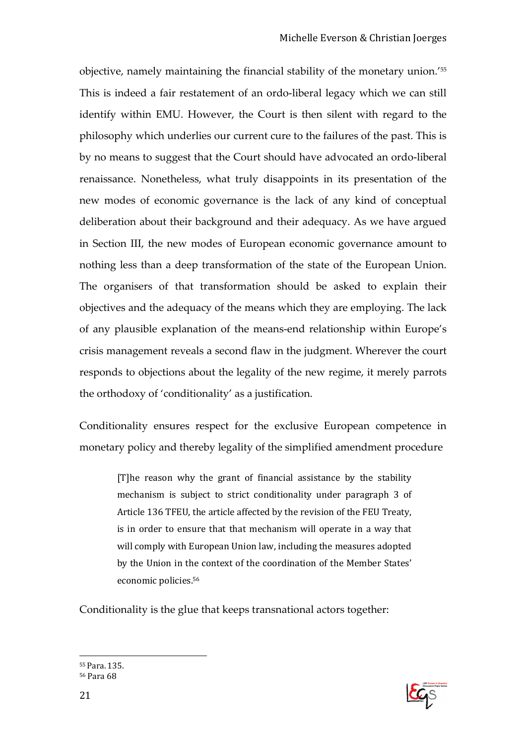objective, namely maintaining the financial stability of the monetary union.'<sup>55</sup> This is indeed a fair restatement of an ordo-liberal legacy which we can still identify within EMU. However, the Court is then silent with regard to the philosophy which underlies our current cure to the failures of the past. This is by no means to suggest that the Court should have advocated an ordo-liberal renaissance. Nonetheless, what truly disappoints in its presentation of the new modes of economic governance is the lack of any kind of conceptual deliberation about their background and their adequacy. As we have argued in Section III, the new modes of European economic governance amount to nothing less than a deep transformation of the state of the European Union. The organisers of that transformation should be asked to explain their objectives and the adequacy of the means which they are employing. The lack of any plausible explanation of the means-end relationship within Europe's crisis management reveals a second flaw in the judgment. Wherever the court responds to objections about the legality of the new regime, it merely parrots the orthodoxy of 'conditionality' as a justification.

Conditionality ensures respect for the exclusive European competence in monetary policy and thereby legality of the simplified amendment procedure

> [T]he reason why the grant of financial assistance by the stability mechanism is subject to strict conditionality under paragraph 3 of Article 136 TFEU, the article affected by the revision of the FEU Treaty, is in order to ensure that that mechanism will operate in a way that will comply with European Union law, including the measures adopted by the Union in the context of the coordination of the Member States' economic policies.<sup>56</sup>

Conditionality is the glue that keeps transnational actors together:



 $\overline{a}$ <sup>55</sup>Para. 135. 56 Para 68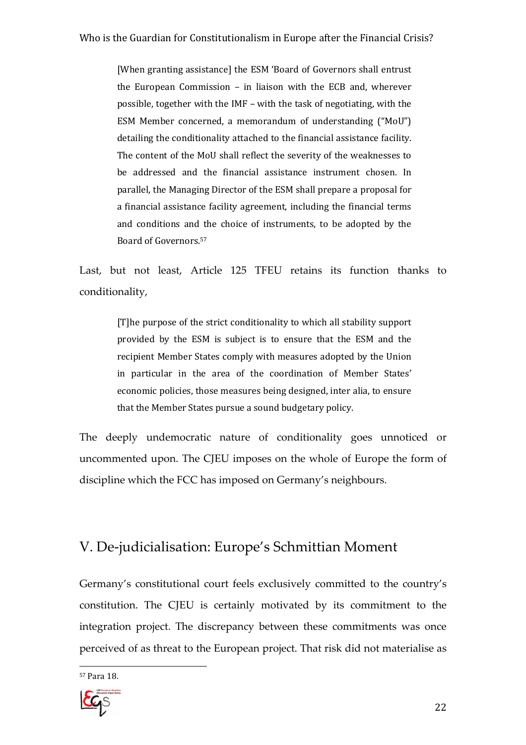[When granting assistance] the ESM 'Board of Governors shall entrust the European Commission – in liaison with the ECB and, wherever possible, together with the IMF – with the task of negotiating, with the ESM Member concerned, a memorandum of understanding ("MoU") detailing the conditionality attached to the financial assistance facility. The content of the MoU shall reflect the severity of the weaknesses to be addressed and the financial assistance instrument chosen. In parallel, the Managing Director of the ESM shall prepare a proposal for a financial assistance facility agreement, including the financial terms and conditions and the choice of instruments, to be adopted by the Board of Governors.<sup>57</sup>

Last, but not least, Article 125 TFEU retains its function thanks to conditionality,

> [T]he purpose of the strict conditionality to which all stability support provided by the ESM is subject is to ensure that the ESM and the recipient Member States comply with measures adopted by the Union in particular in the area of the coordination of Member States' economic policies, those measures being designed, inter alia, to ensure that the Member States pursue a sound budgetary policy.

The deeply undemocratic nature of conditionality goes unnoticed or uncommented upon. The CJEU imposes on the whole of Europe the form of discipline which the FCC has imposed on Germany's neighbours.

### V. De-judicialisation: Europe's Schmittian Moment

Germany's constitutional court feels exclusively committed to the country's constitution. The CJEU is certainly motivated by its commitment to the integration project. The discrepancy between these commitments was once perceived of as threat to the European project. That risk did not materialise as

 $\overline{a}$ 57 Para 18.

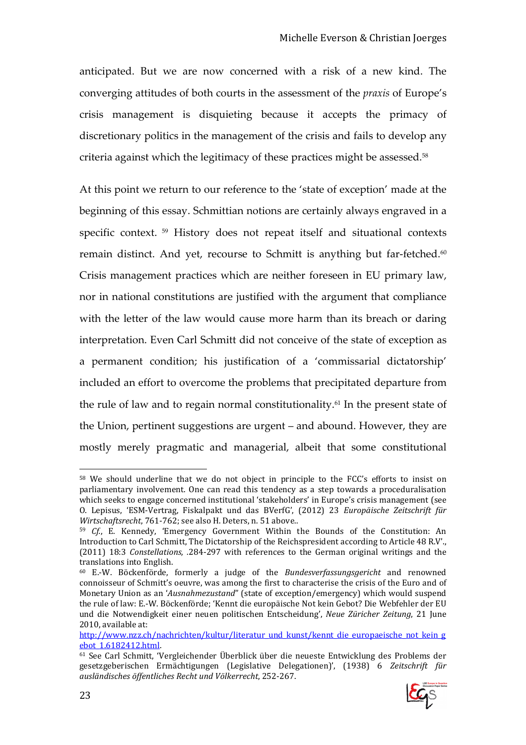anticipated. But we are now concerned with a risk of a new kind. The converging attitudes of both courts in the assessment of the *praxis* of Europe's crisis management is disquieting because it accepts the primacy of discretionary politics in the management of the crisis and fails to develop any criteria against which the legitimacy of these practices might be assessed.<sup>58</sup>

At this point we return to our reference to the 'state of exception' made at the beginning of this essay. Schmittian notions are certainly always engraved in a specific context. 59 History does not repeat itself and situational contexts remain distinct. And yet, recourse to Schmitt is anything but far-fetched.<sup>60</sup> Crisis management practices which are neither foreseen in EU primary law, nor in national constitutions are justified with the argument that compliance with the letter of the law would cause more harm than its breach or daring interpretation. Even Carl Schmitt did not conceive of the state of exception as a permanent condition; his justification of a 'commissarial dictatorship' included an effort to overcome the problems that precipitated departure from the rule of law and to regain normal constitutionality.<sup>61</sup> In the present state of the Union, pertinent suggestions are urgent – and abound. However, they are mostly merely pragmatic and managerial, albeit that some constitutional

<sup>61</sup> See Carl Schmitt, 'Vergleichender Überblick über die neueste Entwicklung des Problems der gesetzgeberischen Ermächtigungen (Legislative Delegationen)', (1938) 6 *Zeitschrift für ausländisches öffentliches Recht und Völkerrecht*, 252-267.



<sup>58</sup> We should underline that we do not object in principle to the FCC's efforts to insist on parliamentary involvement. One can read this tendency as a step towards a proceduralisation which seeks to engage concerned institutional 'stakeholders' in Europe's crisis management (see O. Lepisus, 'ESM-Vertrag, Fiskalpakt und das BVerfG', (2012) 23 *Europäische Zeitschrift für Wirtschaftsrecht*, 761-762; see also H. Deters, n. 51 above..

<sup>59</sup> *Cf.*, E. Kennedy, 'Emergency Government Within the Bounds of the Constitution: An Introduction to Carl Schmitt, The Dictatorship of the Reichspresident according to Article 48 R.V'., (2011) 18:3 *Constellations*, *.*284-297 with references to the German original writings and the translations into English.

<sup>60</sup> E.-W. Böckenförde, formerly a judge of the *Bundesverfassungsgericht* and renowned connoisseur of Schmitt's oeuvre, was among the first to characterise the crisis of the Euro and of Monetary Union as an '*Ausnahmezustand*" (state of exception/emergency) which would suspend the rule of law: E.-W. Böckenförde; 'Kennt die europäische Not kein Gebot? Die Webfehler der EU und die Notwendigkeit einer neuen politischen Entscheidung', *Neue Züricher Zeitung*, 21 June 2010, available at:

http://www.nzz.ch/nachrichten/kultur/literatur\_und\_kunst/kennt\_die\_europaeische\_not\_kein\_g ebot\_1.6182412.html.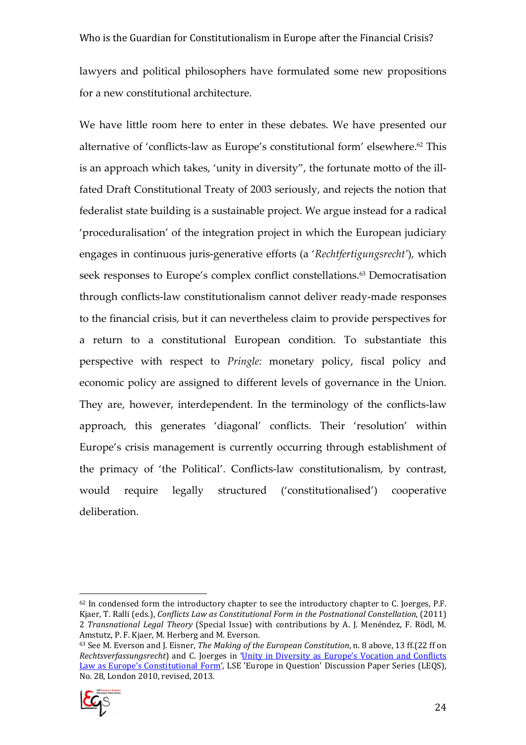lawyers and political philosophers have formulated some new propositions for a new constitutional architecture.

We have little room here to enter in these debates. We have presented our alternative of 'conflicts-law as Europe's constitutional form' elsewhere.<sup>62</sup> This is an approach which takes, 'unity in diversity", the fortunate motto of the illfated Draft Constitutional Treaty of 2003 seriously, and rejects the notion that federalist state building is a sustainable project. We argue instead for a radical 'proceduralisation' of the integration project in which the European judiciary engages in continuous juris-generative efforts (a '*Rechtfertigungsrecht'*), which seek responses to Europe's complex conflict constellations.<sup>63</sup> Democratisation through conflicts-law constitutionalism cannot deliver ready-made responses to the financial crisis, but it can nevertheless claim to provide perspectives for a return to a constitutional European condition. To substantiate this perspective with respect to *Pringle:* monetary policy, fiscal policy and economic policy are assigned to different levels of governance in the Union. They are, however, interdependent. In the terminology of the conflicts-law approach, this generates 'diagonal' conflicts. Their 'resolution' within Europe's crisis management is currently occurring through establishment of the primacy of 'the Political'. Conflicts-law constitutionalism, by contrast, would require legally structured ('constitutionalised') cooperative deliberation.

<sup>63</sup> See M. Everson and J. Eisner, *The Making of the European Constitution*, n. 8 above, 13 ff.(22 ff on *Rechtsverfassungsrecht*) and C. Joerges in 'Unity in Diversity as Europe's Vocation and Conflicts Law as Europe's Constitutional Form', LSE 'Europe in Question' Discussion Paper Series (LEQS), No. 28, London 2010, revised, 2013.



<sup>&</sup>lt;sup>62</sup> In condensed form the introductory chapter to see the introductory chapter to C. Joerges, P.F. Kjaer, T. Ralli (eds.), *Conflicts Law as Constitutional Form in the Postnational Constellation*, (2011) 2 *Transnational Legal Theory* (Special Issue) with contributions by A. J. Menéndez, F. Rödl, M. Amstutz, P. F. Kjaer, M. Herberg and M. Everson.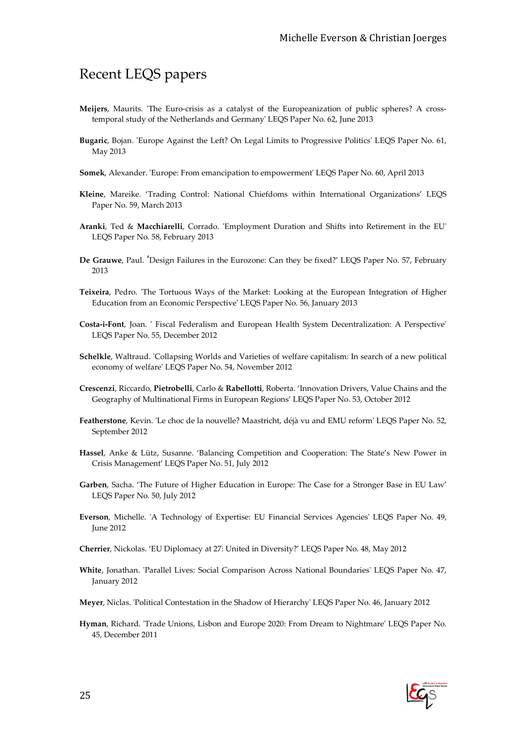### Recent LEQS papers

- **Meijers**, Maurits. 'The Euro-crisis as a catalyst of the Europeanization of public spheres? A crosstemporal study of the Netherlands and Germany' LEQS Paper No. 62, June 2013
- **Bugaric**, Bojan. 'Europe Against the Left? On Legal Limits to Progressive Politics' LEQS Paper No. 61, May 2013
- **Somek**, Alexander. 'Europe: From emancipation to empowerment' LEQS Paper No. 60, April 2013
- **Kleine**, Mareike. 'Trading Control: National Chiefdoms within International Organizations' LEQS Paper No. 59, March 2013
- **Aranki**, Ted & **Macchiarelli**, Corrado. 'Employment Duration and Shifts into Retirement in the EU' LEQS Paper No. 58, February 2013
- **De Grauwe**, Paul. 'Design Failures in the Eurozone: Can they be fixed?' LEQS Paper No. 57, February 2013
- **Teixeira**, Pedro. 'The Tortuous Ways of the Market: Looking at the European Integration of Higher Education from an Economic Perspective' LEQS Paper No. 56, January 2013
- **Costa-i-Font**, Joan. ' Fiscal Federalism and European Health System Decentralization: A Perspective' LEQS Paper No. 55, December 2012
- **Schelkle**, Waltraud. 'Collapsing Worlds and Varieties of welfare capitalism: In search of a new political economy of welfare' LEQS Paper No. 54, November 2012
- **Crescenzi**, Riccardo, **Pietrobelli**, Carlo & **Rabellotti**, Roberta. 'Innovation Drivers, Value Chains and the Geography of Multinational Firms in European Regions' LEQS Paper No. 53, October 2012
- **Featherstone**, Kevin. 'Le choc de la nouvelle? Maastricht, déjà vu and EMU reform' LEQS Paper No. 52, September 2012
- **Hassel**, Anke & Lütz, Susanne. 'Balancing Competition and Cooperation: The State's New Power in Crisis Management' LEQS Paper No. 51, July 2012
- **Garben**, Sacha. 'The Future of Higher Education in Europe: The Case for a Stronger Base in EU Law' LEQS Paper No. 50, July 2012
- **Everson**, Michelle. 'A Technology of Expertise: EU Financial Services Agencies' LEQS Paper No. 49, June 2012
- **Cherrier**, Nickolas. 'EU Diplomacy at 27: United in Diversity?' LEQS Paper No. 48, May 2012
- **White**, Jonathan. 'Parallel Lives: Social Comparison Across National Boundaries' LEQS Paper No. 47, January 2012
- **Meyer**, Niclas. 'Political Contestation in the Shadow of Hierarchy' LEQS Paper No. 46, January 2012
- **Hyman**, Richard. 'Trade Unions, Lisbon and Europe 2020: From Dream to Nightmare' LEQS Paper No. 45, December 2011